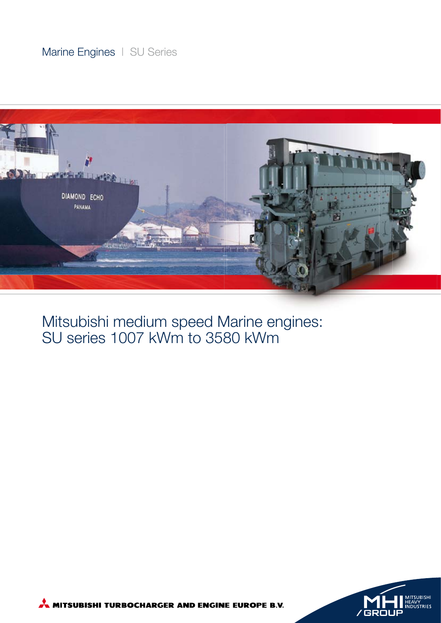### Marine Engines | SU Series



Mitsubishi medium speed Marine engines: SU series 1007 kWm to 3580 kWm



MITSUBISHI TURBOCHARGER AND ENGINE EUROPE B.V.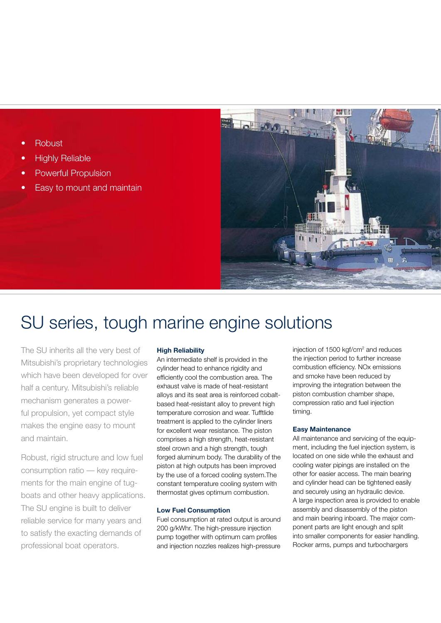- **Robust**
- **Highly Reliable**
- Powerful Propulsion
- Easy to mount and maintain



## SU series, tough marine engine solutions

The SU inherits all the very best of Mitsubishi's proprietary technologies which have been developed for over half a century. Mitsubishi's reliable mechanism generates a powerful propulsion, yet compact style makes the engine easy to mount and maintain.

Robust, rigid structure and low fuel consumption ratio — key requirements for the main engine of tugboats and other heavy applications. The SU engine is built to deliver reliable service for many years and to satisfy the exacting demands of professional boat operators.

#### **High Reliability**

An intermediate shelf is provided in the cylinder head to enhance rigidity and efficiently cool the combustion area. The exhaust valve is made of heat-resistant alloys and its seat area is reinforced cobaltbased heat-resistant alloy to prevent high temperature corrosion and wear. Tufftlide treatment is applied to the cylinder liners for excellent wear resistance. The piston comprises a high strength, heat-resistant steel crown and a high strength, tough forged aluminum body. The durability of the piston at high outputs has been improved by the use of a forced cooling system.The constant temperature cooling system with thermostat gives optimum combustion.

#### **Low Fuel Consumption**

Fuel consumption at rated output is around 200 g/kWhr. The high-pressure injection pump together with optimum cam profiles and injection nozzles realizes high-pressure

injection of 1500 kgf/cm<sup>2</sup> and reduces the injection period to further increase combustion efficiency. NO<sub>x</sub> emissions and smoke have been reduced by improving the integration between the piston combustion chamber shape, compression ratio and fuel injection timing.

#### **Easy Maintenance**

All maintenance and servicing of the equipment, including the fuel injection system, is located on one side while the exhaust and cooling water pipings are installed on the other for easier access. The main bearing and cylinder head can be tightened easily and securely using an hydraulic device. A large inspection area is provided to enable assembly and disassembly of the piston and main bearing inboard. The major component parts are light enough and split into smaller components for easier handling. Rocker arms, pumps and turbochargers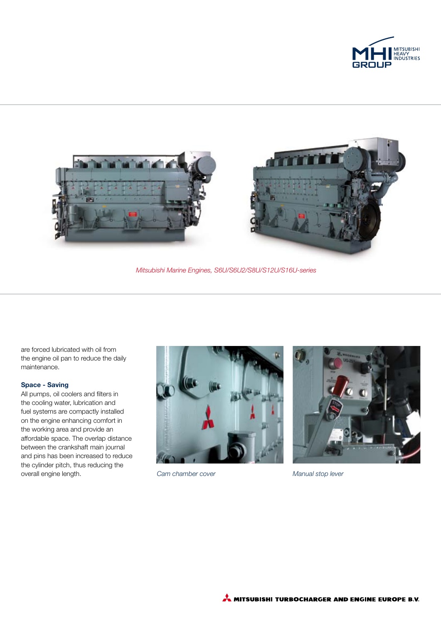



*Mitsubishi Marine Engines, S6U/S6U2/S8U/S12U/S16U-series*

are forced lubricated with oil from the engine oil pan to reduce the daily maintenance.

#### **Space - Saving**

All pumps, oil coolers and filters in the cooling water, lubrication and fuel systems are compactly installed on the engine enhancing comfort in the working area and provide an affordable space. The overlap distance between the crankshaft main journal and pins has been increased to reduce the cylinder pitch, thus reducing the overall engine length.



*Cam chamber cover Manual stop lever*